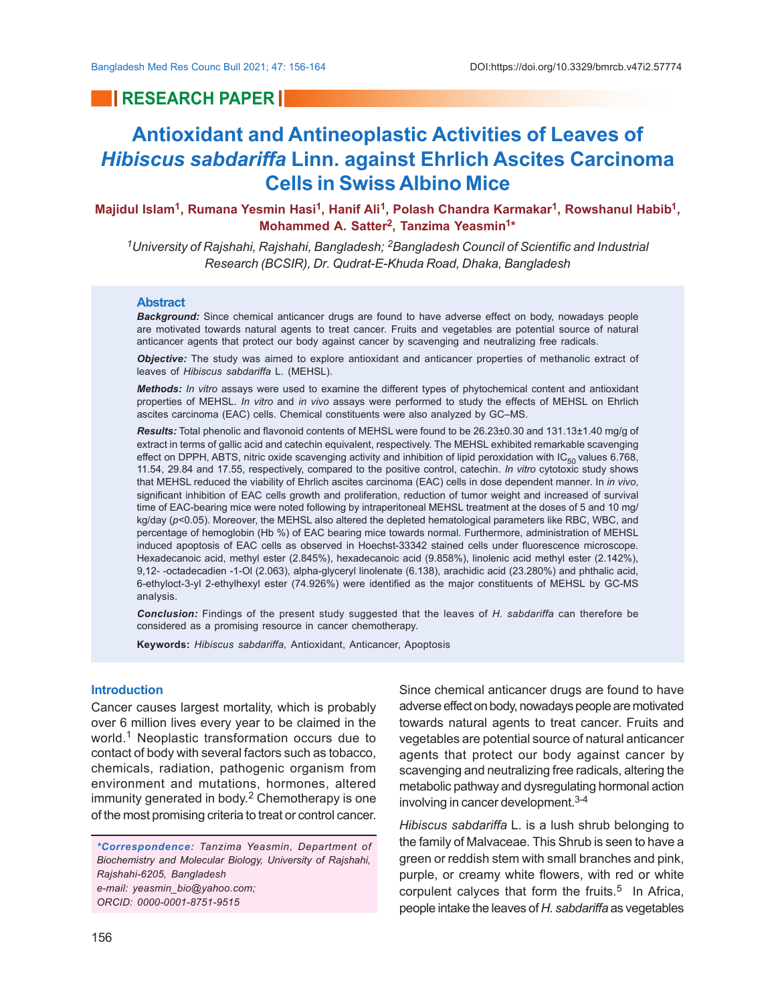## **RESEARCH PAPER**

# **Antioxidant and Antineoplastic Activities of Leaves of** *Hibiscus sabdariffa* **Linn. against Ehrlich Ascites Carcinoma Cells in Swiss Albino Mice**

**Majidul Islam<sup>1</sup> , Rumana Yesmin Hasi<sup>1</sup> , Hanif Ali<sup>1</sup> , Polash Chandra Karmakar<sup>1</sup> , Rowshanul Habib<sup>1</sup> , Mohammed A. Satter<sup>2</sup> , Tanzima Yeasmin<sup>1</sup> \***

*<sup>1</sup>University of Rajshahi, Rajshahi, Bangladesh; 2Bangladesh Council of Scientific and Industrial Research (BCSIR), Dr. Qudrat-E-Khuda Road, Dhaka, Bangladesh*

#### **Abstract**

*Background:* Since chemical anticancer drugs are found to have adverse effect on body, nowadays people are motivated towards natural agents to treat cancer. Fruits and vegetables are potential source of natural anticancer agents that protect our body against cancer by scavenging and neutralizing free radicals.

*Objective:* The study was aimed to explore antioxidant and anticancer properties of methanolic extract of leaves of *Hibiscus sabdariffa* L. (MEHSL).

*Methods: In vitro* assays were used to examine the different types of phytochemical content and antioxidant properties of MEHSL. *In vitro* and *in vivo* assays were performed to study the effects of MEHSL on Ehrlich ascites carcinoma (EAC) cells. Chemical constituents were also analyzed by GC–MS.

*Results:* Total phenolic and flavonoid contents of MEHSL were found to be 26.23±0.30 and 131.13±1.40 mg/g of extract in terms of gallic acid and catechin equivalent, respectively. The MEHSL exhibited remarkable scavenging effect on DPPH, ABTS, nitric oxide scavenging activity and inhibition of lipid peroxidation with  $IC_{50}$  values 6.768, 11.54, 29.84 and 17.55, respectively, compared to the positive control, catechin. *In vitro* cytotoxic study shows that MEHSL reduced the viability of Ehrlich ascites carcinoma (EAC) cells in dose dependent manner. In *in vivo*, significant inhibition of EAC cells growth and proliferation, reduction of tumor weight and increased of survival time of EAC-bearing mice were noted following by intraperitoneal MEHSL treatment at the doses of 5 and 10 mg/ kg/day (p<0.05). Moreover, the MEHSL also altered the depleted hematological parameters like RBC, WBC, and percentage of hemoglobin (Hb %) of EAC bearing mice towards normal. Furthermore, administration of MEHSL induced apoptosis of EAC cells as observed in Hoechst-33342 stained cells under fluorescence microscope. Hexadecanoic acid, methyl ester (2.845%), hexadecanoic acid (9.858%), linolenic acid methyl ester (2.142%), 9,12- -octadecadien -1-Ol (2.063), alpha-glyceryl linolenate (6.138), arachidic acid (23.280%) and phthalic acid, 6-ethyloct-3-yl 2-ethylhexyl ester (74.926%) were identified as the major constituents of MEHSL by GC-MS analysis.

*Conclusion:* Findings of the present study suggested that the leaves of *H. sabdariffa* can therefore be considered as a promising resource in cancer chemotherapy.

**Keywords:** *Hibiscus sabdariffa,* Antioxidant, Anticancer, Apoptosis

### **Introduction**

Cancer causes largest mortality, which is probably over 6 million lives every year to be claimed in the world.<sup>1</sup> Neoplastic transformation occurs due to contact of body with several factors such as tobacco, chemicals, radiation, pathogenic organism from environment and mutations, hormones, altered immunity generated in body. 2 Chemotherapy is one of the most promising criteria to treat or control cancer.

*\*Correspondence: Tanzima Yeasmin, Department of Biochemistry and Molecular Biology, University of Rajshahi, Rajshahi-6205, Bangladesh e-mail: yeasmin\_bio@yahoo.com; ORCID: 0000-0001-8751-9515*

Since chemical anticancer drugs are found to have adverse effect on body, nowadays people are motivated towards natural agents to treat cancer. Fruits and vegetables are potential source of natural anticancer agents that protect our body against cancer by scavenging and neutralizing free radicals, altering the metabolic pathway and dysregulating hormonal action involving in cancer development.3-4

*Hibiscus sabdariffa* L. is a lush shrub belonging to the family of Malvaceae. This Shrub is seen to have a green or reddish stem with small branches and pink, purple, or creamy white flowers, with red or white corpulent calyces that form the fruits.<sup>5</sup> In Africa, people intake the leaves of *H. sabdariffa* as vegetables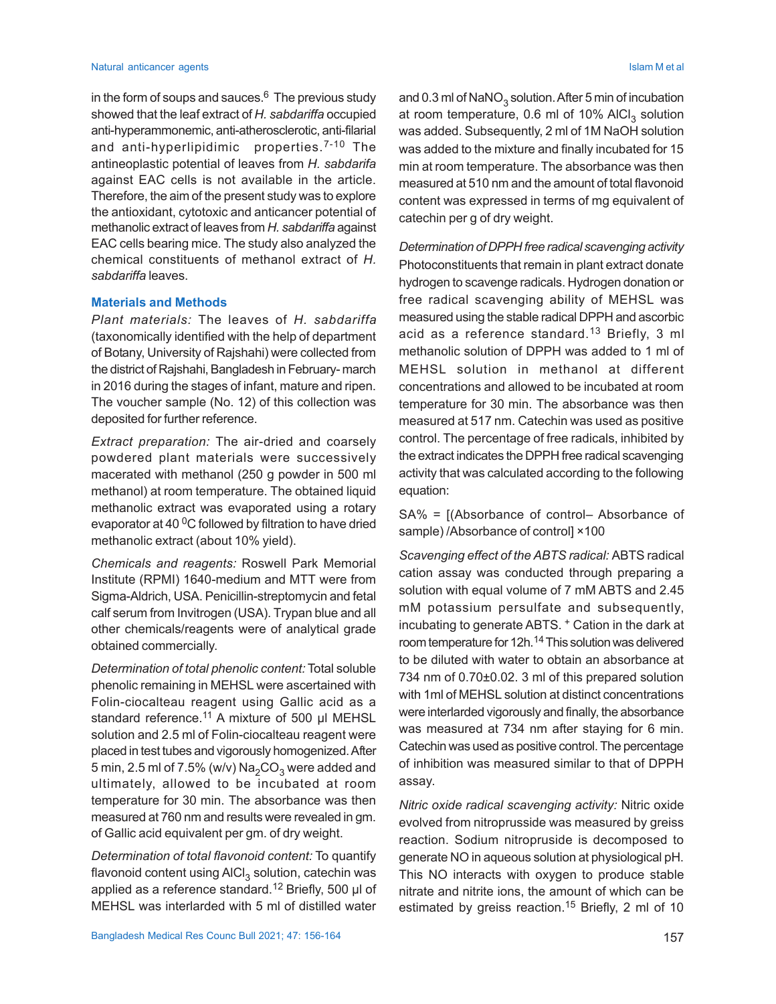in the form of soups and sauces. $^6\,$  The previous study showed that the leaf extract of *H. sabdariffa* occupied anti-hyperammonemic, anti-atherosclerotic, anti-filarial and anti-hyperlipidimic properties.<sup>7-10</sup> The antineoplastic potential of leaves from *H. sabdarifa* against EAC cells is not available in the article. Therefore, the aim of the present study was to explore the antioxidant, cytotoxic and anticancer potential of methanolic extract of leaves from *H. sabdariffa* against EAC cells bearing mice. The study also analyzed the chemical constituents of methanol extract of *H. sabdariffa* leaves.

#### **Materials and Methods**

*Plant materials:* The leaves of *H. sabdariffa* (taxonomically identified with the help of department of Botany, University of Rajshahi) were collected from the district of Rajshahi, Bangladesh in February- march in 2016 during the stages of infant, mature and ripen. The voucher sample (No. 12) of this collection was deposited for further reference.

*Extract preparation:* The air-dried and coarsely powdered plant materials were successively macerated with methanol (250 g powder in 500 ml methanol) at room temperature. The obtained liquid methanolic extract was evaporated using a rotary evaporator at 40<sup>0</sup>C followed by filtration to have dried methanolic extract (about 10% yield).

*Chemicals and reagents:* Roswell Park Memorial Institute (RPMI) 1640-medium and MTT were from Sigma-Aldrich, USA. Penicillin-streptomycin and fetal calf serum from Invitrogen (USA). Trypan blue and all other chemicals/reagents were of analytical grade obtained commercially.

*Determination of total phenolic content:* Total soluble phenolic remaining in MEHSL were ascertained with Folin-ciocalteau reagent using Gallic acid as a standard reference.<sup>11</sup> A mixture of 500 µl MEHSL solution and 2.5 ml of Folin-ciocalteau reagent were placed in test tubes and vigorously homogenized. After 5 min, 2.5 ml of 7.5% (w/v)  $\mathrm{Na}_2\mathrm{CO}_3$  were added and ultimately, allowed to be incubated at room temperature for 30 min. The absorbance was then measured at 760 nm and results were revealed in gm. of Gallic acid equivalent per gm. of dry weight.

*Determination of total flavonoid content:* To quantify flavonoid content using AlCl $_3$  solution, catechin was applied as a reference standard.12 Briefly, 500 µl of MEHSL was interlarded with 5 ml of distilled water

and 0.3 ml of  $\mathsf{NaNO}_3$  solution. After 5 min of incubation at room temperature, 0.6 ml of 10% AlCl<sub>3</sub> solution was added. Subsequently, 2 ml of 1M NaOH solution was added to the mixture and finally incubated for 15 min at room temperature. The absorbance was then measured at 510 nm and the amount of total flavonoid content was expressed in terms of mg equivalent of catechin per g of dry weight.

*Determination of DPPH free radical scavenging activity* Photoconstituents that remain in plant extract donate hydrogen to scavenge radicals. Hydrogen donation or free radical scavenging ability of MEHSL was measured using the stable radical DPPH and ascorbic acid as a reference standard.13 Briefly, 3 ml methanolic solution of DPPH was added to 1 ml of MEHSL solution in methanol at different concentrations and allowed to be incubated at room temperature for 30 min. The absorbance was then measured at 517 nm. Catechin was used as positive control. The percentage of free radicals, inhibited by the extract indicates the DPPH free radical scavenging activity that was calculated according to the following equation:

SA% = [(Absorbance of control– Absorbance of sample) /Absorbance of control] ×100

*Scavenging effect of the ABTS radical:* ABTS radical cation assay was conducted through preparing a solution with equal volume of 7 mM ABTS and 2.45 mM potassium persulfate and subsequently, incubating to generate ABTS. + Cation in the dark at room temperature for 12h.<sup>14</sup> This solution was delivered to be diluted with water to obtain an absorbance at 734 nm of 0.70±0.02. 3 ml of this prepared solution with 1ml of MEHSL solution at distinct concentrations were interlarded vigorously and finally, the absorbance was measured at 734 nm after staying for 6 min. Catechin was used as positive control. The percentage of inhibition was measured similar to that of DPPH assay.

*Nitric oxide radical scavenging activity:* Nitric oxide evolved from nitroprusside was measured by greiss reaction. Sodium nitropruside is decomposed to generate NO in aqueous solution at physiological pH. This NO interacts with oxygen to produce stable nitrate and nitrite ions, the amount of which can be estimated by greiss reaction.<sup>15</sup> Briefly, 2 ml of 10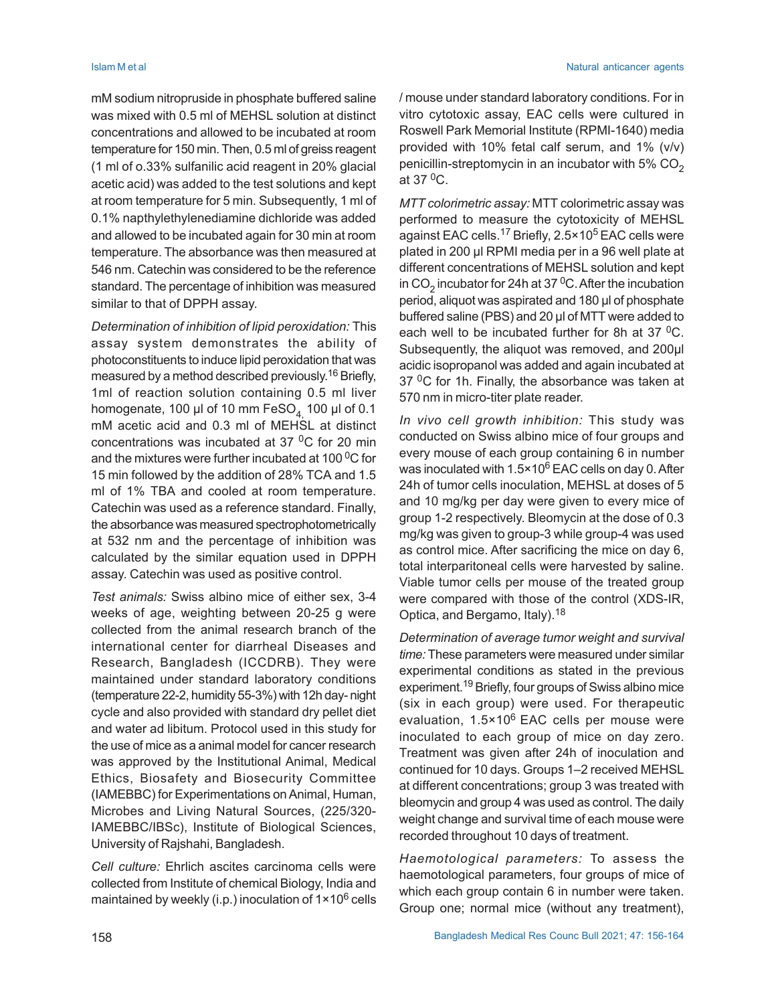mM sodium nitropruside in phosphate buffered saline was mixed with 0.5 ml of MEHSL solution at distinct concentrations and allowed to be incubated at room temperature for 150 min. Then, 0.5 ml of greiss reagent (1 ml of o.33% sulfanilic acid reagent in 20% glacial acetic acid) was added to the test solutions and kept at room temperature for 5 min. Subsequently, 1 ml of 0.1% napthylethylenediamine dichloride was added and allowed to be incubated again for 30 min at room temperature. The absorbance was then measured at 546 nm. Catechin was considered to be the reference standard. The percentage of inhibition was measured similar to that of DPPH assay.

*Determination of inhibition of lipid peroxidation:* This assay system demonstrates the ability of photoconstituents to induce lipid peroxidation that was measured by a method described previously. <sup>16</sup> Briefly, 1ml of reaction solution containing 0.5 ml liver homogenate, 100 µl of 10 mm  $\text{FeSO}_4$  100 µl of 0.1 mM acetic acid and 0.3 ml of MEHSL at distinct concentrations was incubated at 37 $\mathrm{^{0}C}$  for 20 min and the mixtures were further incubated at 100 $\mathrm{^{0}C}$  for 15 min followed by the addition of 28% TCA and 1.5 ml of 1% TBA and cooled at room temperature. Catechin was used as a reference standard. Finally, the absorbance was measured spectrophotometrically at 532 nm and the percentage of inhibition was calculated by the similar equation used in DPPH assay. Catechin was used as positive control.

*Test animals:* Swiss albino mice of either sex, 3-4 weeks of age, weighting between 20-25 g were collected from the animal research branch of the international center for diarrheal Diseases and Research, Bangladesh (ICCDRB). They were maintained under standard laboratory conditions (temperature 22-2, humidity 55-3%) with 12h day- night cycle and also provided with standard dry pellet diet and water ad libitum. Protocol used in this study for the use of mice as a animal model for cancer research was approved by the Institutional Animal, Medical Ethics, Biosafety and Biosecurity Committee (IAMEBBC) for Experimentations on Animal, Human, Microbes and Living Natural Sources, (225/320- IAMEBBC/IBSc), Institute of Biological Sciences, University of Rajshahi, Bangladesh.

*Cell culture:* Ehrlich ascites carcinoma cells were collected from Institute of chemical Biology, India and maintained by weekly (i.p.) inoculation of 1×10<sup>6</sup> cells

/ mouse under standard laboratory conditions. For in vitro cytotoxic assay, EAC cells were cultured in Roswell Park Memorial Institute (RPMI-1640) media provided with 10% fetal calf serum, and 1% (v/v) penicillin-streptomycin in an incubator with 5%  $CO<sub>2</sub>$ at  $37 \,^0$ C.

*MTT colorimetric assay:* MTT colorimetric assay was performed to measure the cytotoxicity of MEHSL against EAC cells.<sup>17</sup> Briefly, 2.5×10<sup>5</sup> EAC cells were plated in 200 µl RPMI media per in a 96 well plate at different concentrations of MEHSL solution and kept in CO<sub>2</sub> incubator for 24h at 37<sup>0</sup>C. After the incubation period, aliquot was aspirated and 180 µl of phosphate buffered saline (PBS) and 20 µl of MTT were added to each well to be incubated further for 8h at 37 $\mathrm{^{0}C}$ . Subsequently, the aliquot was removed, and 200µl acidic isopropanol was added and again incubated at 37 $\mathrm{^{0}C}$  for 1h. Finally, the absorbance was taken at 570 nm in micro-titer plate reader.

*In vivo cell growth inhibition:* This study was conducted on Swiss albino mice of four groups and every mouse of each group containing 6 in number was inoculated with 1.5×10 $^6$  EAC cells on day 0. After 24h of tumor cells inoculation, MEHSL at doses of 5 and 10 mg/kg per day were given to every mice of group 1-2 respectively. Bleomycin at the dose of 0.3 mg/kg was given to group-3 while group-4 was used as control mice. After sacrificing the mice on day 6, total interparitoneal cells were harvested by saline. Viable tumor cells per mouse of the treated group were compared with those of the control (XDS-IR, Optica, and Bergamo, Italy).<sup>18</sup>

*Determination of average tumor weight and survival time:* These parameters were measured under similar experimental conditions as stated in the previous experiment.19 Briefly, four groups of Swiss albino mice (six in each group) were used. For therapeutic evaluation, 1.5×106 EAC cells per mouse were inoculated to each group of mice on day zero. Treatment was given after 24h of inoculation and continued for 10 days. Groups 1–2 received MEHSL at different concentrations; group 3 was treated with bleomycin and group 4 was used as control. The daily weight change and survival time of each mouse were recorded throughout 10 days of treatment.

*Haemotological parameters:* To assess the haemotological parameters, four groups of mice of which each group contain 6 in number were taken. Group one; normal mice (without any treatment),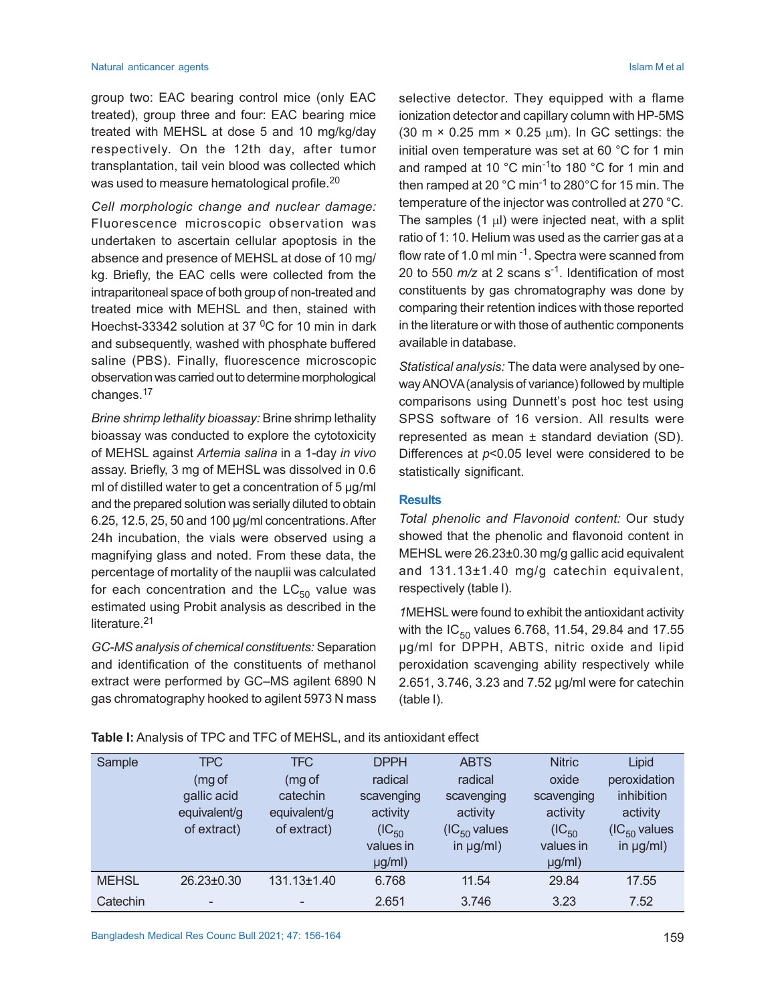#### Natural anticancer agents **Islam M et al.** Natural anticancer agents **Islam M et al.** Natural anticancer agents **Islam M et al.** Natural anticancer agents **Islam M et al.** Natural anticancer agents **Islam M et al.** Natural

group two: EAC bearing control mice (only EAC treated), group three and four: EAC bearing mice treated with MEHSL at dose 5 and 10 mg/kg/day respectively. On the 12th day, after tumor transplantation, tail vein blood was collected which was used to measure hematological profile.<sup>20</sup>

*Cell morphologic change and nuclear damage:* Fluorescence microscopic observation was undertaken to ascertain cellular apoptosis in the absence and presence of MEHSL at dose of 10 mg/ kg. Briefly, the EAC cells were collected from the intraparitoneal space of both group of non-treated and treated mice with MEHSL and then, stained with Hoechst-33342 solution at 37  $\mathrm{^0C}$  for 10 min in dark and subsequently, washed with phosphate buffered saline (PBS). Finally, fluorescence microscopic observation was carried out to determine morphological changes.<sup>17</sup>

*Brine shrimp lethality bioassay:* Brine shrimp lethality bioassay was conducted to explore the cytotoxicity of MEHSL against *Artemia salina* in a 1-day *in vivo* assay. Briefly, 3 mg of MEHSL was dissolved in 0.6 ml of distilled water to get a concentration of 5 µg/ml and the prepared solution was serially diluted to obtain 6.25, 12.5, 25, 50 and 100 µg/ml concentrations. After 24h incubation, the vials were observed using a magnifying glass and noted. From these data, the percentage of mortality of the nauplii was calculated for each concentration and the  $LC_{50}$  value was estimated using Probit analysis as described in the literature.<sup>21</sup>

*GC-MS analysis of chemical constituents:* Separation and identification of the constituents of methanol extract were performed by GC–MS agilent 6890 N gas chromatography hooked to agilent 5973 N mass selective detector. They equipped with a flame ionization detector and capillary column with HP-5MS (30 m  $\times$  0.25 mm  $\times$  0.25 µm). In GC settings: the initial oven temperature was set at 60 °C for 1 min and ramped at 10 °C min-1to 180 °C for 1 min and then ramped at 20 °C min-1 to 280°C for 15 min. The temperature of the injector was controlled at 270 °C. The samples  $(1 \mu l)$  were injected neat, with a split ratio of 1: 10. Helium was used as the carrier gas at a flow rate of 1.0 ml min  $^{-1}$ . Spectra were scanned from 20 to 550 *m/z* at 2 scans s-1. Identification of most constituents by gas chromatography was done by comparing their retention indices with those reported in the literature or with those of authentic components available in database.

*Statistical analysis:* The data were analysed by oneway ANOVA (analysis of variance) followed by multiple comparisons using Dunnett's post hoc test using SPSS software of 16 version. All results were represented as mean ± standard deviation (SD). Differences at *p*<0.05 level were considered to be statistically significant.

### **Results**

*Total phenolic and Flavonoid content:* Our study showed that the phenolic and flavonoid content in MEHSL were 26.23±0.30 mg/g gallic acid equivalent and 131.13±1.40 mg/g catechin equivalent, respectively (table I).

*1*MEHSL were found to exhibit the antioxidant activity with the  $IC_{50}$  values 6.768, 11.54, 29.84 and 17.55 µg/ml for DPPH, ABTS, nitric oxide and lipid peroxidation scavenging ability respectively while 2.651, 3.746, 3.23 and 7.52 µg/ml were for catechin (table I).

| Sample       | <b>TPC</b>   | <b>TFC</b>   | <b>DPPH</b> | <b>ABTS</b>       | <b>Nitric</b> | Lipid             |
|--------------|--------------|--------------|-------------|-------------------|---------------|-------------------|
|              | (mg of       | (mg of       | radical     | radical           | oxide         | peroxidation      |
|              | gallic acid  | catechin     | scavenging  | scavenging        | scavenging    | inhibition        |
|              | equivalent/g | equivalent/g | activity    | activity          | activity      | activity          |
|              | of extract)  | of extract)  | $(IC_{50}$  | $(IC_{50}$ values | $(IC_{50}$    | $(IC_{50}$ values |
|              |              |              | values in   | in $\mu g/ml$ )   | values in     | in $\mu g/ml$ )   |
|              |              |              | $\mu g/ml)$ |                   | $\mu g/ml)$   |                   |
| <b>MEHSL</b> | 26.23±0.30   | 131.13±1.40  | 6.768       | 11.54             | 29.84         | 17.55             |
| Catechin     | -            | -            | 2.651       | 3.746             | 3.23          | 7.52              |

**Table I:** Analysis of TPC and TFC of MEHSL, and its antioxidant effect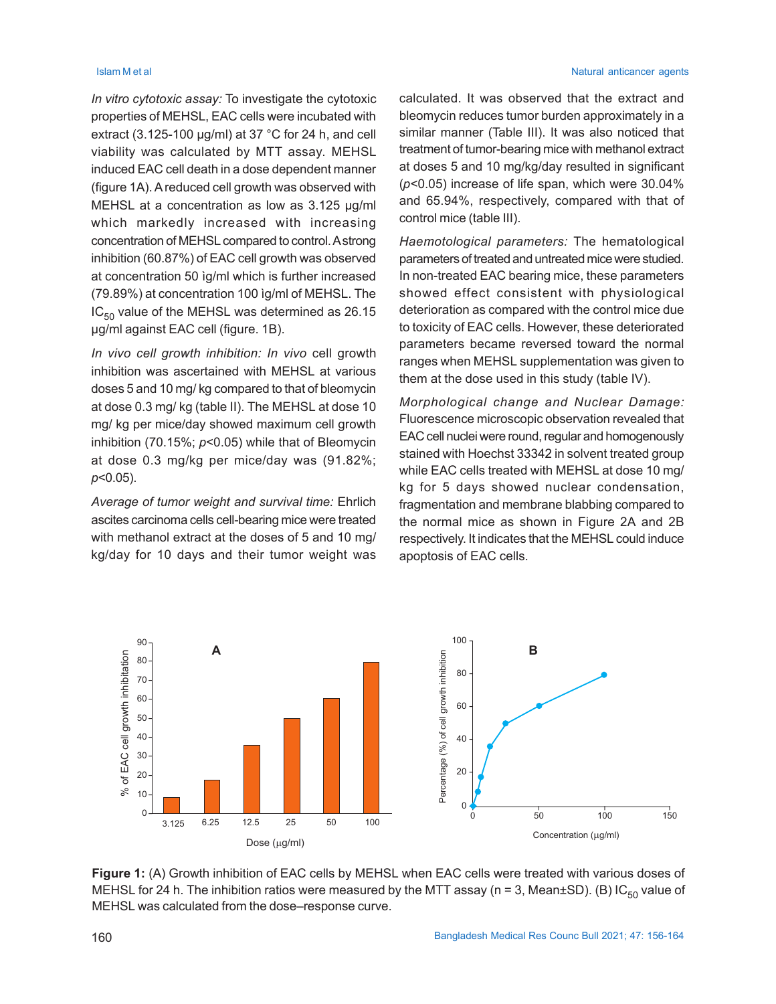*In vitro cytotoxic assay:* To investigate the cytotoxic properties of MEHSL, EAC cells were incubated with extract  $(3.125-100 \mu q/ml)$  at 37 °C for 24 h, and cell viability was calculated by MTT assay. MEHSL induced EAC cell death in a dose dependent manner (figure 1A). A reduced cell growth was observed with MEHSL at a concentration as low as 3.125 µg/ml which markedly increased with increasing concentration of MEHSL compared to control. A strong inhibition (60.87%) of EAC cell growth was observed at concentration 50 ìg/ml which is further increased (79.89%) at concentration 100 ìg/ml of MEHSL. The  $IC_{50}$  value of the MEHSL was determined as 26.15 µg/ml against EAC cell (figure. 1B).

*In vivo cell growth inhibition: In vivo* cell growth inhibition was ascertained with MEHSL at various doses 5 and 10 mg/ kg compared to that of bleomycin at dose 0.3 mg/ kg (table II). The MEHSL at dose 10 mg/ kg per mice/day showed maximum cell growth inhibition (70.15%; *p*<0.05) while that of Bleomycin at dose 0.3 mg/kg per mice/day was (91.82%; *p*<0.05).

*Average of tumor weight and survival time:* Ehrlich ascites carcinoma cells cell-bearing mice were treated with methanol extract at the doses of 5 and 10 mg/ kg/day for 10 days and their tumor weight was

#### **Islam M et al** Natural anticancer agents **Islam M et al** Natural anticancer agents

calculated. It was observed that the extract and bleomycin reduces tumor burden approximately in a similar manner (Table III). It was also noticed that treatment of tumor-bearing mice with methanol extract at doses 5 and 10 mg/kg/day resulted in significant (*p*<0.05) increase of life span, which were 30.04% and 65.94%, respectively, compared with that of control mice (table III).

*Haemotological parameters:* The hematological parameters of treated and untreated mice were studied. In non-treated EAC bearing mice, these parameters showed effect consistent with physiological deterioration as compared with the control mice due to toxicity of EAC cells. However, these deteriorated parameters became reversed toward the normal ranges when MEHSL supplementation was given to them at the dose used in this study (table IV).

*Morphological change and Nuclear Damage:* Fluorescence microscopic observation revealed that EAC cell nuclei were round, regular and homogenously stained with Hoechst 33342 in solvent treated group while EAC cells treated with MEHSL at dose 10 mg/ kg for 5 days showed nuclear condensation, fragmentation and membrane blabbing compared to the normal mice as shown in Figure 2A and 2B respectively. It indicates that the MEHSL could induce apoptosis of EAC cells.



**Figure 1:** (A) Growth inhibition of EAC cells by MEHSL when EAC cells were treated with various doses of MEHSL for 24 h. The inhibition ratios were measured by the MTT assay (n = 3, Mean±SD). (B) IC<sub>50</sub> value of MEHSL was calculated from the dose–response curve.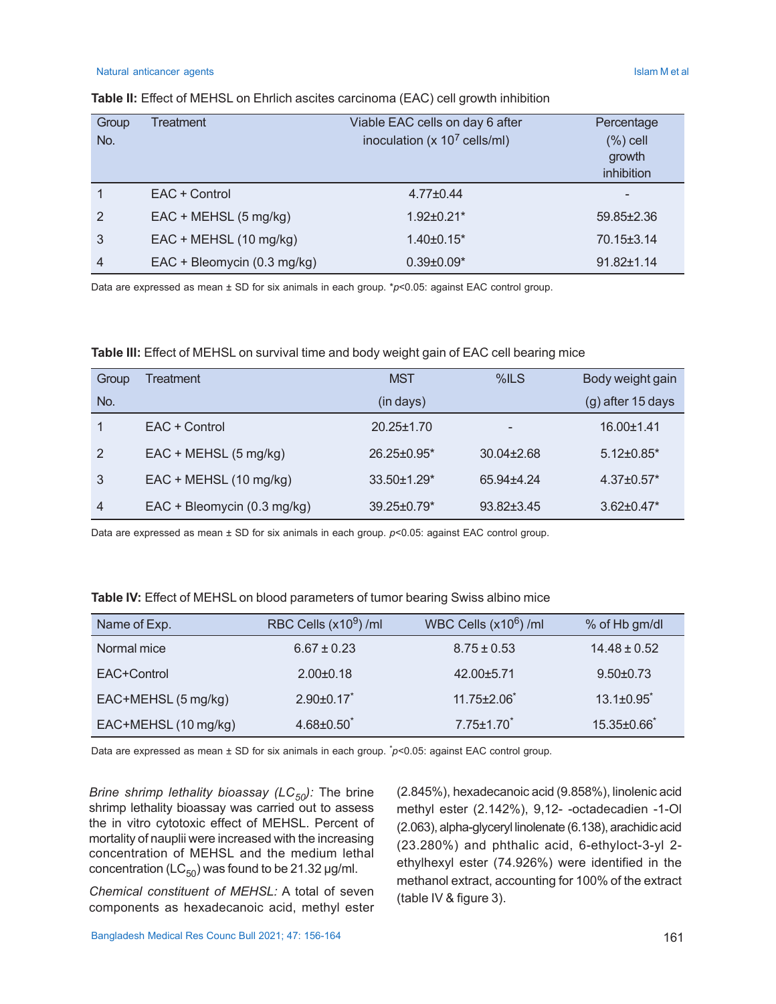#### Natural anticancer agents **Islam M et al.** Natural anticancer agents **Islam M et al.** Natural anticancer agents

| Group          | Treatment                   | Viable EAC cells on day 6 after  | Percentage       |
|----------------|-----------------------------|----------------------------------|------------------|
| No.            |                             | inoculation ( $x 10^7$ cells/ml) | $(\%)$ cell      |
|                |                             |                                  | growth           |
|                |                             |                                  | inhibition       |
|                | EAC + Control               | $4.77 \pm 0.44$                  | $\,$             |
| $\overline{2}$ | $EAC + MEHSL$ (5 mg/kg)     | $1.92 \pm 0.21$ *                | $59.85 \pm 2.36$ |
| 3              | EAC + MEHSL (10 mg/kg)      | $1.40\pm0.15$ <sup>*</sup>       | 70.15±3.14       |
| 4              | EAC + Bleomycin (0.3 mg/kg) | $0.39 \pm 0.09^*$                | $91.82 \pm 1.14$ |

### **Table II:** Effect of MEHSL on Ehrlich ascites carcinoma (EAC) cell growth inhibition

Data are expressed as mean ± SD for six animals in each group. \**p*<0.05: against EAC control group.

### **Table III:** Effect of MEHSL on survival time and body weight gain of EAC cell bearing mice

| Group | Treatment                   | <b>MST</b>                    | %ILS             | Body weight gain             |
|-------|-----------------------------|-------------------------------|------------------|------------------------------|
| No.   |                             | (in days)                     |                  | $(g)$ after 15 days          |
|       | EAC + Control               | $20.25 \pm 1.70$              | -                | $16.00 \pm 1.41$             |
| 2     | $EAC + MEHSL$ (5 mg/kg)     | $26.25 \pm 0.95^*$            | $30.04 \pm 2.68$ | $5.12 \pm 0.85$ <sup>*</sup> |
| 3     | EAC + MEHSL (10 mg/kg)      | $33.50 \pm 1.29^*$            | 65.94+4.24       | $4.37\pm0.57*$               |
| 4     | EAC + Bleomycin (0.3 mg/kg) | $39.25 \pm 0.79$ <sup>*</sup> | 93.82±3.45       | $3.62 \pm 0.47$ *            |

Data are expressed as mean ± SD for six animals in each group. *p*<0.05: against EAC control group.

| Table IV: Effect of MEHSL on blood parameters of tumor bearing Swiss albino mice |  |  |
|----------------------------------------------------------------------------------|--|--|
|                                                                                  |  |  |

| Name of Exp.         | RBC Cells $(x10^9)$ /ml | WBC Cells $(x10^6)$ /ml | % of Hb gm/dl           |
|----------------------|-------------------------|-------------------------|-------------------------|
| Normal mice          | $6.67 \pm 0.23$         | $8.75 \pm 0.53$         | $14.48 \pm 0.52$        |
| EAC+Control          | $2.00+0.18$             | 42.00±5.71              | $9.50 \pm 0.73$         |
| EAC+MEHSL (5 mg/kg)  | $2.90 \pm 0.17$ *       | $11.75 \pm 2.06$        | $13.1 \pm 0.95$         |
| EAC+MEHSL (10 mg/kg) | $4.68 \pm 0.50$         | $7.75 \pm 1.70$         | 15.35±0.66 <sup>*</sup> |

Data are expressed as mean ± SD for six animals in each group. \**p*<0.05: against EAC control group.

*Brine shrimp lethality bioassay (LC<sub>50</sub>):* The brine shrimp lethality bioassay was carried out to assess the in vitro cytotoxic effect of MEHSL. Percent of mortality of nauplii were increased with the increasing concentration of MEHSL and the medium lethal concentration ( $LC_{50}$ ) was found to be 21.32 µg/ml.

*Chemical constituent of MEHSL:* A total of seven components as hexadecanoic acid, methyl ester

(2.845%), hexadecanoic acid (9.858%), linolenic acid methyl ester (2.142%), 9,12- -octadecadien -1-Ol (2.063), alpha-glyceryl linolenate (6.138), arachidic acid (23.280%) and phthalic acid, 6-ethyloct-3-yl 2 ethylhexyl ester (74.926%) were identified in the methanol extract, accounting for 100% of the extract (table IV & figure 3).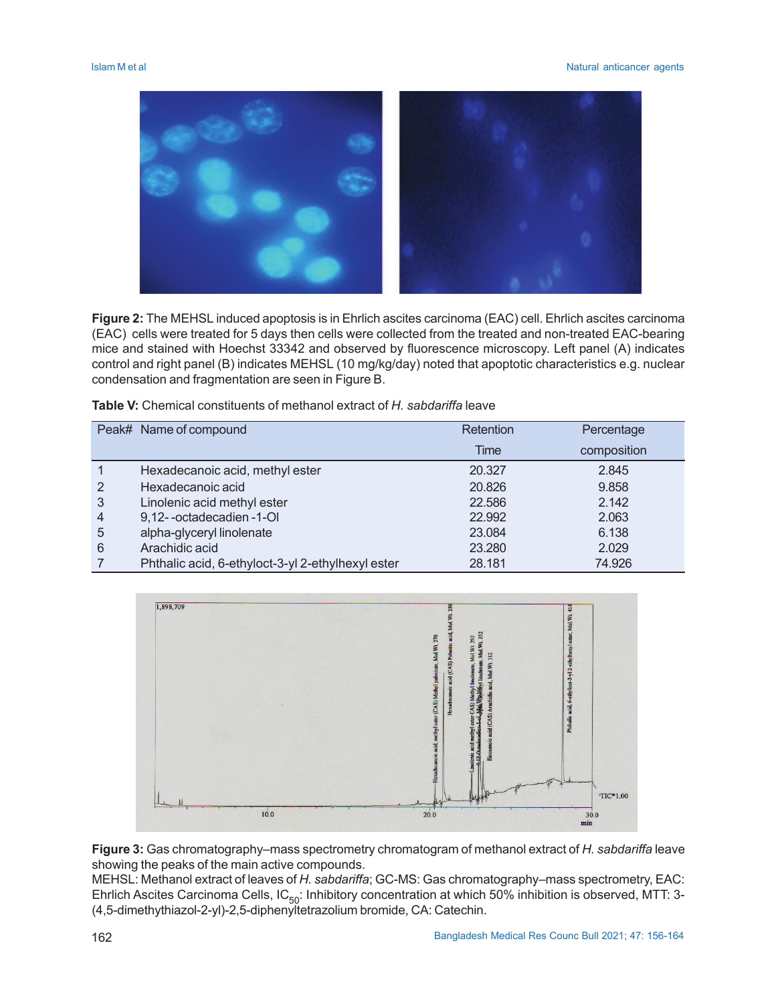

**Figure 2:** The MEHSL induced apoptosis is in Ehrlich ascites carcinoma (EAC) cell. Ehrlich ascites carcinoma (EAC) cells were treated for 5 days then cells were collected from the treated and non-treated EAC-bearing mice and stained with Hoechst 33342 and observed by fluorescence microscopy. Left panel (A) indicates control and right panel (B) indicates MEHSL (10 mg/kg/day) noted that apoptotic characteristics e.g. nuclear condensation and fragmentation are seen in Figure B.

|   | Peak# Name of compound                            | Retention | Percentage  |
|---|---------------------------------------------------|-----------|-------------|
|   |                                                   | Time      | composition |
|   | Hexadecanoic acid, methyl ester                   | 20,327    | 2.845       |
| 2 | Hexadecanoic acid                                 | 20.826    | 9.858       |
| 3 | Linolenic acid methyl ester                       | 22.586    | 2.142       |
| 4 | 9,12--octadecadien-1-OI                           | 22.992    | 2.063       |
| 5 | alpha-glyceryl linolenate                         | 23.084    | 6.138       |
| 6 | Arachidic acid                                    | 23.280    | 2.029       |
|   | Phthalic acid, 6-ethyloct-3-yl 2-ethylhexyl ester | 28.181    | 74.926      |



**Figure 3:** Gas chromatography–mass spectrometry chromatogram of methanol extract of *H. sabdariffa* leave showing the peaks of the main active compounds.

MEHSL: Methanol extract of leaves of *H. sabdariffa*; GC-MS: Gas chromatography–mass spectrometry, EAC: Ehrlich Ascites Carcinoma Cells, IC $_{50}$ : Inhibitory concentration at which 50% inhibition is observed, MTT: 3-(4,5-dimethythiazol-2-yl)-2,5-diphenyltetrazolium bromide, CA: Catechin.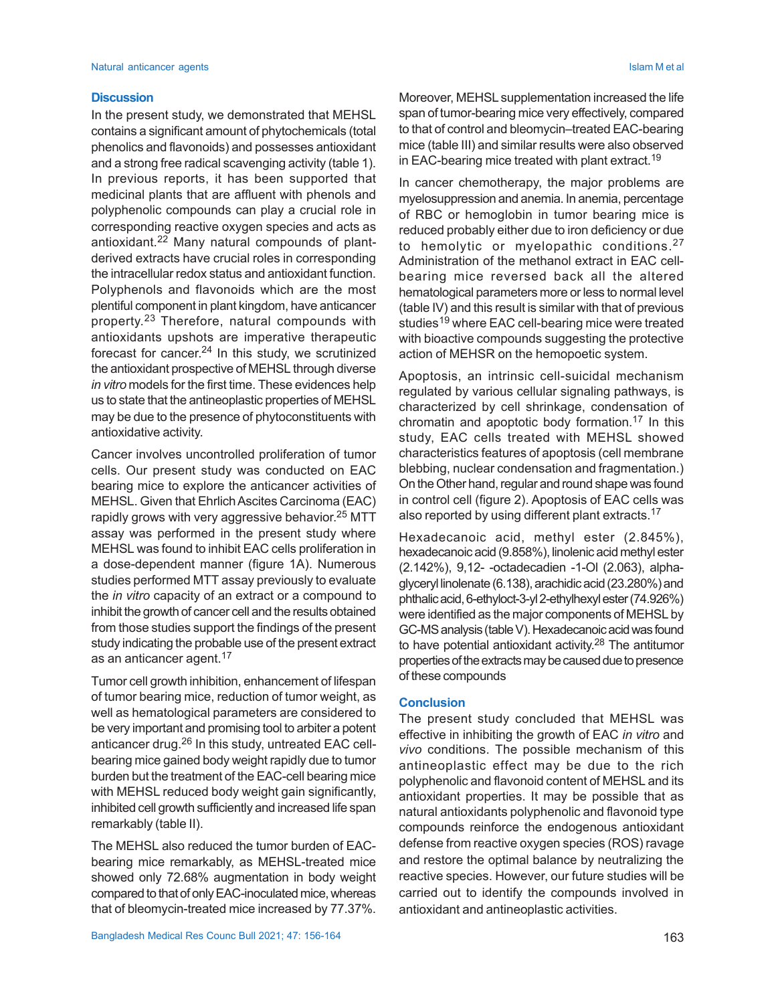#### **Discussion**

In the present study, we demonstrated that MEHSL contains a significant amount of phytochemicals (total phenolics and flavonoids) and possesses antioxidant and a strong free radical scavenging activity (table 1). In previous reports, it has been supported that medicinal plants that are affluent with phenols and polyphenolic compounds can play a crucial role in corresponding reactive oxygen species and acts as antioxidant.22 Many natural compounds of plantderived extracts have crucial roles in corresponding the intracellular redox status and antioxidant function. Polyphenols and flavonoids which are the most plentiful component in plant kingdom, have anticancer property. <sup>23</sup> Therefore, natural compounds with antioxidants upshots are imperative therapeutic forecast for cancer.<sup>24</sup> In this study, we scrutinized the antioxidant prospective of MEHSL through diverse *in vitro* models for the first time. These evidences help us to state that the antineoplastic properties of MEHSL may be due to the presence of phytoconstituents with antioxidative activity.

Cancer involves uncontrolled proliferation of tumor cells. Our present study was conducted on EAC bearing mice to explore the anticancer activities of MEHSL. Given that Ehrlich Ascites Carcinoma (EAC) rapidly grows with very aggressive behavior.<sup>25</sup> MTT assay was performed in the present study where MEHSL was found to inhibit EAC cells proliferation in a dose-dependent manner (figure 1A). Numerous studies performed MTT assay previously to evaluate the *in vitro* capacity of an extract or a compound to inhibit the growth of cancer cell and the results obtained from those studies support the findings of the present study indicating the probable use of the present extract as an anticancer agent.<sup>17</sup>

Tumor cell growth inhibition, enhancement of lifespan of tumor bearing mice, reduction of tumor weight, as well as hematological parameters are considered to be very important and promising tool to arbiter a potent anticancer drug.<sup>26</sup> In this study, untreated EAC cellbearing mice gained body weight rapidly due to tumor burden but the treatment of the EAC-cell bearing mice with MEHSL reduced body weight gain significantly, inhibited cell growth sufficiently and increased life span remarkably (table II).

The MEHSL also reduced the tumor burden of EACbearing mice remarkably, as MEHSL-treated mice showed only 72.68% augmentation in body weight compared to that of only EAC-inoculated mice, whereas that of bleomycin-treated mice increased by 77.37%.

Moreover, MEHSL supplementation increased the life span of tumor-bearing mice very effectively, compared to that of control and bleomycin–treated EAC-bearing mice (table III) and similar results were also observed in EAC-bearing mice treated with plant extract.<sup>19</sup>

In cancer chemotherapy, the major problems are myelosuppression and anemia. In anemia, percentage of RBC or hemoglobin in tumor bearing mice is reduced probably either due to iron deficiency or due to hemolytic or myelopathic conditions.<sup>27</sup> Administration of the methanol extract in EAC cellbearing mice reversed back all the altered hematological parameters more or less to normal level (table IV) and this result is similar with that of previous studies<sup>19</sup> where EAC cell-bearing mice were treated with bioactive compounds suggesting the protective action of MEHSR on the hemopoetic system.

Apoptosis, an intrinsic cell-suicidal mechanism regulated by various cellular signaling pathways, is characterized by cell shrinkage, condensation of chromatin and apoptotic body formation.<sup>17</sup> In this study, EAC cells treated with MEHSL showed characteristics features of apoptosis (cell membrane blebbing, nuclear condensation and fragmentation.) On the Other hand, regular and round shape was found in control cell (figure 2). Apoptosis of EAC cells was also reported by using different plant extracts.<sup>17</sup>

Hexadecanoic acid, methyl ester (2.845%), hexadecanoic acid (9.858%), linolenic acid methyl ester (2.142%), 9,12- -octadecadien -1-Ol (2.063), alphaglyceryl linolenate (6.138), arachidic acid (23.280%) and phthalic acid, 6-ethyloct-3-yl 2-ethylhexyl ester (74.926%) were identified as the major components of MEHSL by GC-MS analysis (table V). Hexadecanoic acid was found to have potential antioxidant activity. <sup>28</sup> The antitumor properties of the extracts may be caused due to presence of these compounds

#### **Conclusion**

The present study concluded that MEHSL was effective in inhibiting the growth of EAC *in vitro* and *vivo* conditions. The possible mechanism of this antineoplastic effect may be due to the rich polyphenolic and flavonoid content of MEHSL and its antioxidant properties. It may be possible that as natural antioxidants polyphenolic and flavonoid type compounds reinforce the endogenous antioxidant defense from reactive oxygen species (ROS) ravage and restore the optimal balance by neutralizing the reactive species. However, our future studies will be carried out to identify the compounds involved in antioxidant and antineoplastic activities.